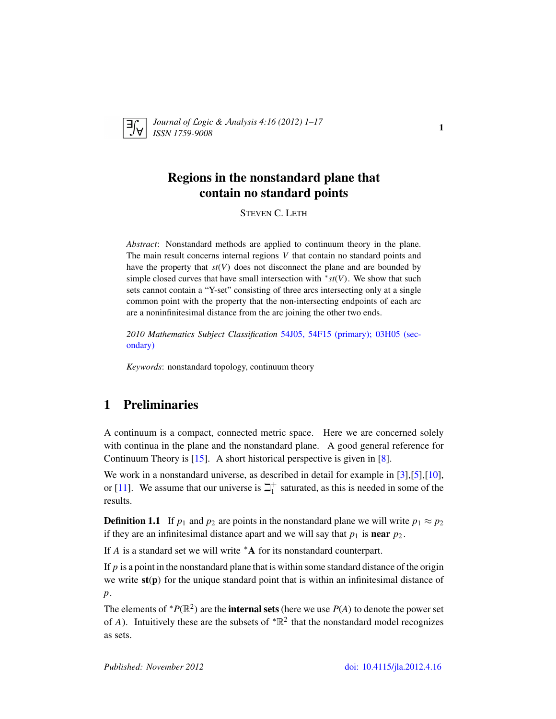

*Journal of* L*ogic &* A*nalysis 4:16 (2012) 1–17 ISSN 1759-9008* 1

# Regions in the nonstandard plane that contain no standard points

STEVEN C. LETH

*Abstract*: Nonstandard methods are applied to continuum theory in the plane. The main result concerns internal regions *V* that contain no standard points and have the property that *st*(*V*) does not disconnect the plane and are bounded by simple closed curves that have small intersection with <sup>∗</sup> *st*(*V*). We show that such sets cannot contain a "Y-set" consisting of three arcs intersecting only at a single common point with the property that the non-intersecting endpoints of each arc are a noninfinitesimal distance from the arc joining the other two ends.

*2010 Mathematics Subject Classification* [54J05, 54F15 \(primary\); 03H05 \(sec](http://www.ams.org/mathscinet/search/mscdoc.html?code=54J05, 54F15,(03H05))[ondary\)](http://www.ams.org/mathscinet/search/mscdoc.html?code=54J05, 54F15,(03H05))

*Keywords*: nonstandard topology, continuum theory

# 1 Preliminaries

A continuum is a compact, connected metric space. Here we are concerned solely with continua in the plane and the nonstandard plane. A good general reference for Continuum Theory is [\[15\]](#page-16-0). A short historical perspective is given in [\[8\]](#page-16-1).

We work in a nonstandard universe, as described in detail for example in [\[3\]](#page-15-0),[\[5\]](#page-16-2),[\[10\]](#page-16-3), or [\[11\]](#page-16-4). We assume that our universe is  $\beth_1^+$  $_1^+$  saturated, as this is needed in some of the results.

**Definition 1.1** If  $p_1$  and  $p_2$  are points in the nonstandard plane we will write  $p_1 \approx p_2$ if they are an infinitesimal distance apart and we will say that  $p_1$  is **near**  $p_2$ .

If *A* is a standard set we will write <sup>∗</sup>A for its nonstandard counterpart.

If  $p$  is a point in the nonstandard plane that is within some standard distance of the origin we write  $st(p)$  for the unique standard point that is within an infinitesimal distance of *p*.

The elements of  $^*P(\mathbb{R}^2)$  are the **internal sets** (here we use  $P(A)$  to denote the power set of *A*). Intuitively these are the subsets of  $R^2$  that the nonstandard model recognizes as sets.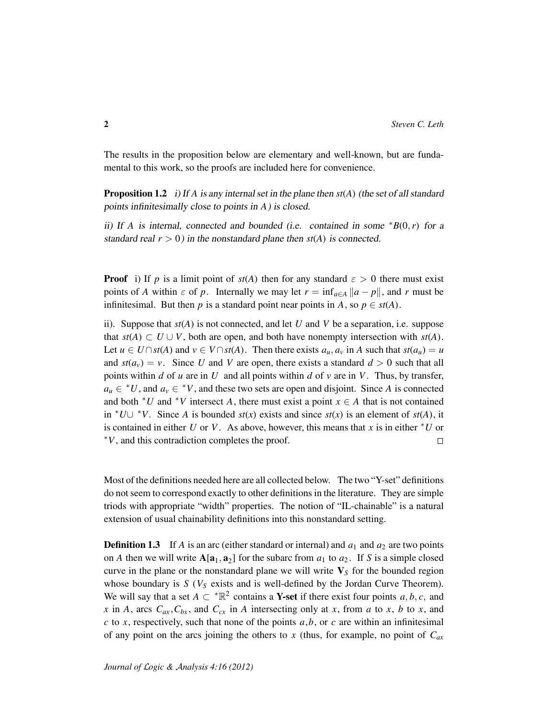The results in the proposition below are elementary and well-known, but are fundamental to this work, so the proofs are included here for convenience.

Proposition 1.2 i) If *A* is any internal set in the plane then *st*(*A*) (the set of all standard points infinitesimally close to points in *A*) is closed.

ii) If *A* is internal, connected and bounded (i.e. contained in some  $*B(0, r)$  for a standard real  $r > 0$ ) in the nonstandard plane then  $st(A)$  is connected.

**Proof** i) If *p* is a limit point of  $st(A)$  then for any standard  $\varepsilon > 0$  there must exist points of *A* within  $\varepsilon$  of *p*. Internally we may let  $r = \inf_{a \in A} ||a - p||$ , and *r* must be infinitesimal. But then *p* is a standard point near points in *A*, so  $p \in st(A)$ .

ii). Suppose that *st*(*A*) is not connected, and let *U* and *V* be a separation, i.e. suppose that *st*(*A*) ⊂ *U* ∪ *V*, both are open, and both have nonempty intersection with *st*(*A*). Let  $u \in U \cap st(A)$  and  $v \in V \cap st(A)$ . Then there exists  $a_u, a_v$  in A such that  $st(a_u) = u$ and  $st(a_v) = v$ . Since U and V are open, there exists a standard  $d > 0$  such that all points within *d* of *u* are in *U* and all points within *d* of *v* are in *V*. Thus, by transfer,  $a_u \in {}^*U$ , and  $a_v \in {}^*V$ , and these two sets are open and disjoint. Since *A* is connected and both  $*U$  and  $*V$  intersect *A*, there must exist a point  $x \in A$  that is not contained in <sup>∗</sup>*U*∪ <sup>∗</sup>*V*. Since *A* is bounded *st*(*x*) exists and since *st*(*x*) is an element of *st*(*A*), it is contained in either *U* or *V*. As above, however, this means that *x* is in either <sup>∗</sup>*U* or <sup>∗</sup>*V*, and this contradiction completes the proof.  $\Box$ 

Most of the definitions needed here are all collected below. The two "Y-set" definitions do not seem to correspond exactly to other definitions in the literature. They are simple triods with appropriate "width" properties. The notion of "IL-chainable" is a natural extension of usual chainability definitions into this nonstandard setting.

**Definition 1.3** If *A* is an arc (either standard or internal) and  $a_1$  and  $a_2$  are two points on *A* then we will write  $A[a_1, a_2]$  for the subarc from  $a_1$  to  $a_2$ . If *S* is a simple closed curve in the plane or the nonstandard plane we will write  $V<sub>S</sub>$  for the bounded region whose boundary is  $S$  ( $V_S$  exists and is well-defined by the Jordan Curve Theorem). We will say that a set  $A \subset \mathbb{R}^2$  contains a **Y-set** if there exist four points  $a, b, c$ , and *x* in *A*, arcs  $C_{ax}$ ,  $C_{bx}$ , and  $C_{cx}$  in *A* intersecting only at *x*, from *a* to *x*, *b* to *x*, and  $c$  to  $x$ , respectively, such that none of the points  $a$ , $b$ , or  $c$  are within an infinitesimal of any point on the arcs joining the others to *x* (thus, for example, no point of *Cax*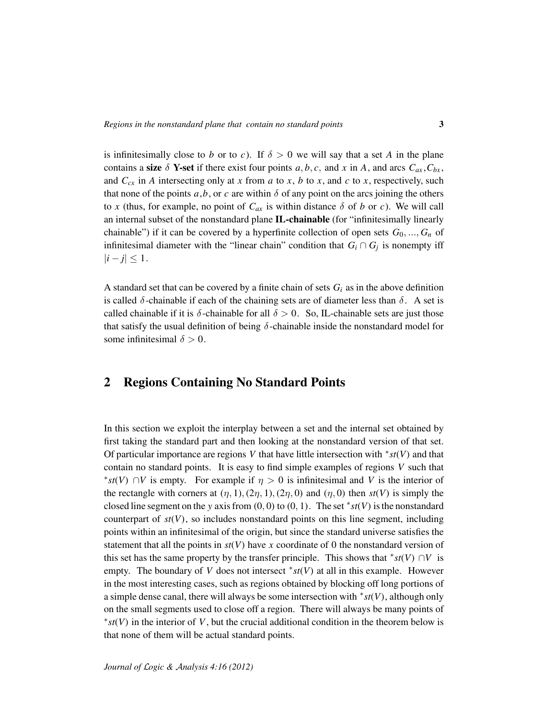is infinitesimally close to *b* or to *c*). If  $\delta > 0$  we will say that a set *A* in the plane contains a size  $\delta$  Y-set if there exist four points *a*, *b*, *c*, and *x* in *A*, and arcs  $C_{ax}$ ,  $C_{bx}$ , and  $C_{cx}$  in *A* intersecting only at *x* from *a* to *x*, *b* to *x*, and *c* to *x*, respectively, such that none of the points  $a$ , $b$ , or  $c$  are within  $\delta$  of any point on the arcs joining the others to *x* (thus, for example, no point of  $C_{ax}$  is within distance  $\delta$  of *b* or *c*). We will call an internal subset of the nonstandard plane IL-chainable (for "infinitesimally linearly chainable") if it can be covered by a hyperfinite collection of open sets  $G_0, ..., G_n$  of infinitesimal diameter with the "linear chain" condition that  $G_i \cap G_j$  is nonempty iff  $|i - j| \leq 1$ .

A standard set that can be covered by a finite chain of sets  $G_i$  as in the above definition is called  $\delta$ -chainable if each of the chaining sets are of diameter less than  $\delta$ . A set is called chainable if it is  $\delta$ -chainable for all  $\delta > 0$ . So, IL-chainable sets are just those that satisfy the usual definition of being  $\delta$ -chainable inside the nonstandard model for some infinitesimal  $\delta > 0$ .

## 2 Regions Containing No Standard Points

In this section we exploit the interplay between a set and the internal set obtained by first taking the standard part and then looking at the nonstandard version of that set. Of particular importance are regions *V* that have little intersection with <sup>∗</sup> *st*(*V*) and that contain no standard points. It is easy to find simple examples of regions *V* such that <sup>\*</sup>st(*V*) ∩*V* is empty. For example if  $η > 0$  is infinitesimal and *V* is the interior of the rectangle with corners at  $(\eta, 1), (2\eta, 1), (2\eta, 0)$  and  $(\eta, 0)$  then  $st(V)$  is simply the closed line segment on the *y* axis from  $(0, 0)$  to  $(0, 1)$ . The set  $*st(V)$  is the nonstandard counterpart of  $st(V)$ , so includes nonstandard points on this line segment, including points within an infinitesimal of the origin, but since the standard universe satisfies the statement that all the points in  $st(V)$  have x coordinate of 0 the nonstandard version of this set has the same property by the transfer principle. This shows that  $*st(V) \cap V$  is empty. The boundary of *V* does not intersect  $*st(V)$  at all in this example. However in the most interesting cases, such as regions obtained by blocking off long portions of a simple dense canal, there will always be some intersection with <sup>∗</sup> *st*(*V*), although only on the small segments used to close off a region. There will always be many points of ∗ *st*(*V*) in the interior of *V*, but the crucial additional condition in the theorem below is that none of them will be actual standard points.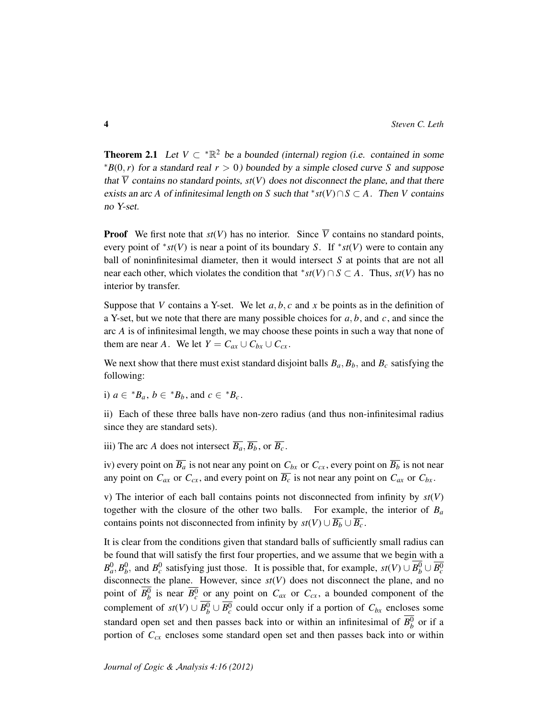**Theorem 2.1** Let  $V \subset \mathbb{R}^2$  be a bounded (internal) region (i.e. contained in some  $*B(0, r)$  for a standard real  $r > 0$ ) bounded by a simple closed curve *S* and suppose that  $\overline{V}$  contains no standard points,  $st(V)$  does not disconnect the plane, and that there exists an arc *A* of infinitesimal length on *S* such that  $*st(V) \cap S \subset A$ . Then *V* contains no Y-set.

**Proof** We first note that  $st(V)$  has no interior. Since  $\overline{V}$  contains no standard points, every point of <sup>∗</sup> *st*(*V*) is near a point of its boundary *S*. If <sup>∗</sup> *st*(*V*) were to contain any ball of noninfinitesimal diameter, then it would intersect *S* at points that are not all near each other, which violates the condition that  $*st(V) \cap S \subset A$ . Thus,  $st(V)$  has no interior by transfer.

Suppose that *V* contains a Y-set. We let  $a, b, c$  and  $x$  be points as in the definition of a Y-set, but we note that there are many possible choices for *a*, *b*, and *c*, and since the arc *A* is of infinitesimal length, we may choose these points in such a way that none of them are near *A*. We let  $Y = C_{ax} \cup C_{bx} \cup C_{cx}$ .

We next show that there must exist standard disjoint balls  $B_a$ ,  $B_b$ , and  $B_c$  satisfying the following:

i)  $a \in {}^*B_a$ ,  $b \in {}^*B_b$ , and  $c \in {}^*B_c$ .

ii) Each of these three balls have non-zero radius (and thus non-infinitesimal radius since they are standard sets).

iii) The arc *A* does not intersect  $\overline{B_a}, \overline{B_b}$ , or  $\overline{B_c}$ .

iv) every point on  $\overline{B_a}$  is not near any point on  $C_{bx}$  or  $C_{cx}$ , every point on  $\overline{B_b}$  is not near any point on  $C_{ax}$  or  $C_{cx}$ , and every point on  $\overline{B_c}$  is not near any point on  $C_{ax}$  or  $C_{bx}$ .

v) The interior of each ball contains points not disconnected from infinity by *st*(*V*) together with the closure of the other two balls. For example, the interior of  $B_a$ contains points not disconnected from infinity by  $st(V) \cup \overline{B_b} \cup \overline{B_c}$ .

It is clear from the conditions given that standard balls of sufficiently small radius can be found that will satisfy the first four properties, and we assume that we begin with a  $B_a^0, B_b^0$ , and  $B_c^0$  satisfying just those. It is possible that, for example,  $st(V) \cup B_b^0 \cup \overline{B_c^0}$ disconnects the plane. However, since  $s(tV)$  does not disconnect the plane, and no point of  $B_b^0$  is near  $\overline{B_c^0}$  or any point on  $C_{ax}$  or  $C_{cx}$ , a bounded component of the complement of  $st(V) \cup B_b^0 \cup \overline{B_c^0}$  could occur only if a portion of  $C_{bx}$  encloses some standard open set and then passes back into or within an infinitesimal of  $B_b^0$  or if a portion of  $C_{cx}$  encloses some standard open set and then passes back into or within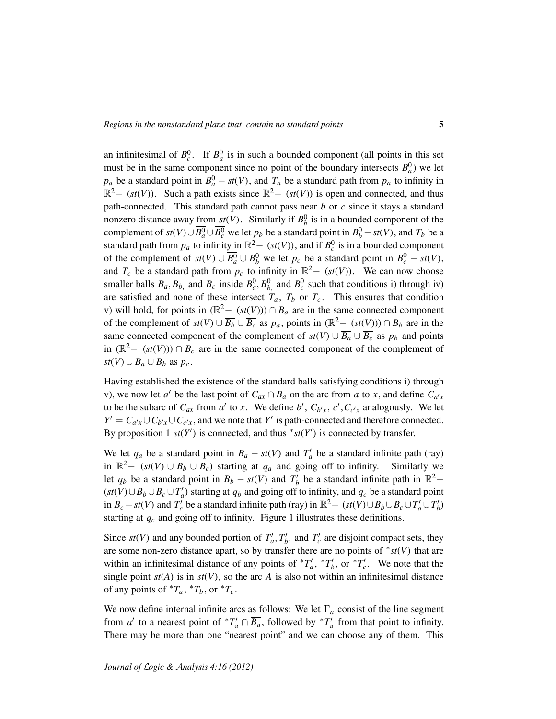an infinitesimal of  $\overline{B_c^0}$ . If  $B_a^0$  is in such a bounded component (all points in this set must be in the same component since no point of the boundary intersects  $B_a^0$ ) we let *p<sub>a</sub>* be a standard point in  $B_q^0 - st(V)$ , and  $T_q$  be a standard path from  $p_q$  to infinity in  $\mathbb{R}^2 - (st(V))$ . Such a path exists since  $\mathbb{R}^2 - (st(V))$  is open and connected, and thus path-connected. This standard path cannot pass near *b* or *c* since it stays a standard nonzero distance away <u>from  $st(V)$ </u>. Similarly if  $B_b^0$  is in a bounded component of the complement of  $st(V) \cup \overline{B^0_a} \cup \overline{B^0_c}$  we let  $p_b$  be a standard point in  $B^0_b - st(V)$ , and  $T_b$  be a standard path from  $p_a$  to infinity in  $\mathbb{R}^2$  (*st*(*V*)), and if  $B_c^0$  is in a bounded component of the complement of  $st(V) \cup \overline{B_a^0} \cup B_b^0$  we let  $p_c$  be a standard point in  $B_c^0 - st(V)$ , and  $T_c$  be a standard path from  $p_c$  to infinity in  $\mathbb{R}^2 - (st(V))$ . We can now choose smaller balls  $B_a$ ,  $B_b$ , and  $B_c$  inside  $B_a^0$ ,  $B_b^0$ , and  $B_c^0$  such that conditions i) through iv) are satisfied and none of these intersect  $T_a$ ,  $T_b$  or  $T_c$ . This ensures that condition v) will hold, for points in  $(\mathbb{R}^2 - (st(V))) \cap B_a$  are in the same connected component of the complement of  $st(V) \cup \overline{B_b} \cup \overline{B_c}$  as  $p_a$ , points in  $(\mathbb{R}^2 - (st(V))) \cap B_b$  are in the same connected component of the complement of  $st(V) \cup \overline{B_a} \cup \overline{B_c}$  as  $p_b$  and points in ( $\mathbb{R}^2$  − (*st*(*V*))) ∩ *B<sub>c</sub>* are in the same connected component of the complement of *st*(*V*) ∪  $\overline{B_a}$  ∪  $\overline{B_b}$  as  $p_c$ .

Having established the existence of the standard balls satisfying conditions i) through v), we now let *a*<sup> $\prime$ </sup> be the last point of  $C_{ax} \cap \overline{B_a}$  on the arc from *a* to *x*, and define  $C_{a'x}$ to be the subarc of  $C_{ax}$  from  $a'$  to  $x$ . We define  $b'$ ,  $C_{b'x}$ ,  $c'$ ,  $C_{c'x}$  analogously. We let  $Y' = C_{a'x} \cup C_{b'x} \cup C_{c'x}$ , and we note that  $Y'$  is path-connected and therefore connected. By proposition 1  $st(Y')$  is connected, and thus  $*st(Y')$  is connected by transfer.

We let  $q_a$  be a standard point in  $B_a - st(V)$  and  $T'_a$  be a standard infinite path (ray) in  $\mathbb{R}^2 - (st(V) \cup \overline{B_b} \cup \overline{B_c})$  starting at  $q_a$  and going off to infinity. Similarly we let  $q_b$  be a standard point in  $B_b - st(V)$  and  $T'_b$  be a standard infinite path in  $\mathbb{R}^2$ - $(st(V) \cup \overline{B_b} \cup \overline{B_c} \cup T'_a)$  starting at  $q_b$  and going off to infinity, and  $q_c$  be a standard point in *B*<sub>*c*</sub> − *st*(*V*) and *T*<sup>*c*</sup> be a standard infinite path (ray) in  $\mathbb{R}^2$  − (*st*(*V*)∪ $\overline{B_b}$ ∪ $\overline{B_c}$ ∪ $T'_a$ ∪ $T'_b$ ) starting at *q<sup>c</sup>* and going off to infinity. Figure 1 illustrates these definitions.

Since  $st(V)$  and any bounded portion of  $T_a', T_b'$ , and  $T_c'$  are disjoint compact sets, they are some non-zero distance apart, so by transfer there are no points of <sup>∗</sup> *st*(*V*) that are within an infinitesimal distance of any points of  ${}^*T_a'$ ,  ${}^*T_b'$ , or  ${}^*T_c'$ . We note that the single point  $st(A)$  is in  $st(V)$ , so the arc *A* is also not within an infinitesimal distance of any points of  ${}^*T_a$ ,  ${}^*T_b$ , or  ${}^*T_c$ .

We now define internal infinite arcs as follows: We let  $\Gamma_a$  consist of the line segment from *a'* to a nearest point of  ${}^*T_a' \cap \overline{B_a}$ , followed by  ${}^*T_a'$  from that point to infinity. There may be more than one "nearest point" and we can choose any of them. This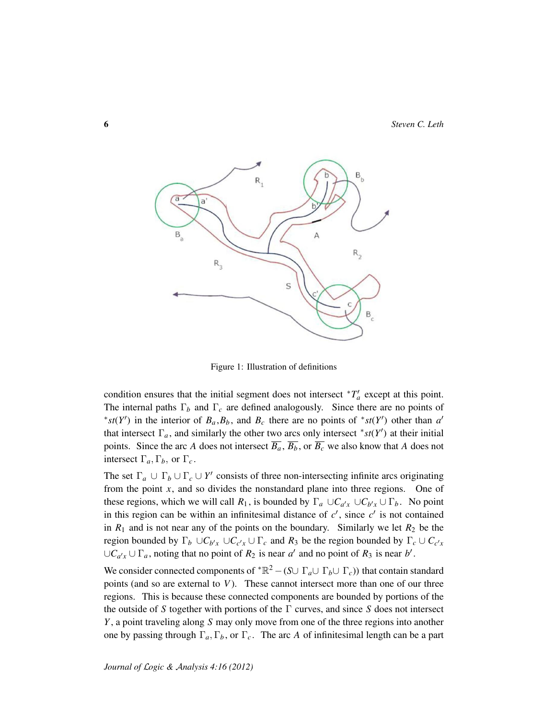

Figure 1: Illustration of definitions

condition ensures that the initial segment does not intersect  $T_a$  except at this point. The internal paths Γ*<sup>b</sup>* and Γ*<sup>c</sup>* are defined analogously. Since there are no points of \**st*(*Y*') in the interior of  $B_a$ ,  $B_b$ , and  $B_c$  there are no points of \**st*(*Y*') other than *a*' that intersect  $\Gamma_a$ , and similarly the other two arcs only intersect  $*$  *st*(*Y*<sup>*'*</sup>) at their initial points. Since the arc *A* does not intersect  $\overline{B_a}$ ,  $\overline{B_b}$ , or  $\overline{B_c}$  we also know that *A* does not intersect  $\Gamma_a, \Gamma_b$ , or  $\Gamma_c$ .

The set  $\Gamma_a \cup \Gamma_b \cup \Gamma_c \cup Y'$  consists of three non-intersecting infinite arcs originating from the point *x*, and so divides the nonstandard plane into three regions. One of these regions, which we will call  $R_1$ , is bounded by  $\Gamma_a \cup C_{a'x} \cup C_{b'x} \cup \Gamma_b$ . No point in this region can be within an infinitesimal distance of  $c'$ , since  $c'$  is not contained in  $R_1$  and is not near any of the points on the boundary. Similarly we let  $R_2$  be the region bounded by  $\Gamma_b \cup C_{b'x} \cup C_{c'x} \cup \Gamma_c$  and  $R_3$  be the region bounded by  $\Gamma_c \cup C_{c'x}$ ∪ $C_{a'x}$  ∪  $\Gamma_a$ , noting that no point of  $R_2$  is near  $a'$  and no point of  $R_3$  is near  $b'$ .

We consider connected components of  ${}^{\ast} \mathbb{R}^2 - (S \cup \Gamma_a \cup \Gamma_b \cup \Gamma_c)$  that contain standard points (and so are external to *V*). These cannot intersect more than one of our three regions. This is because these connected components are bounded by portions of the the outside of *S* together with portions of the Γ curves, and since *S* does not intersect *Y* , a point traveling along *S* may only move from one of the three regions into another one by passing through  $\Gamma_a, \Gamma_b$ , or  $\Gamma_c$ . The arc *A* of infinitesimal length can be a part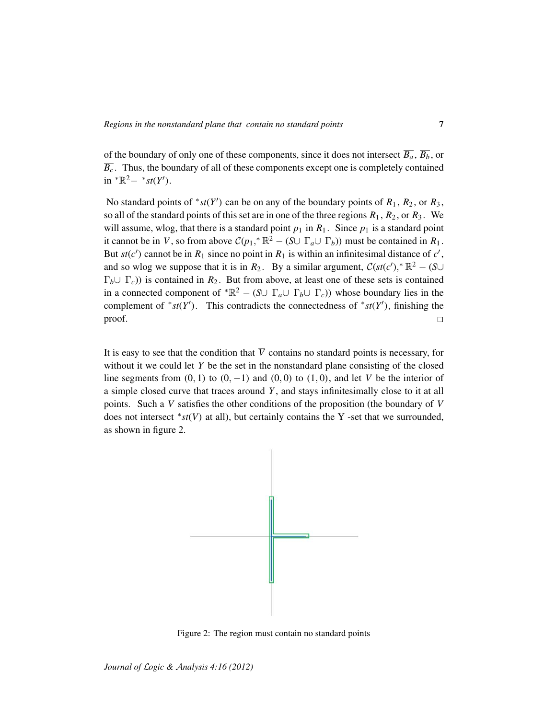of the boundary of only one of these components, since it does not intersect  $\overline{B_a}$ ,  $\overline{B_b}$ , or  $\overline{B_c}$ . Thus, the boundary of all of these components except one is completely contained  $\text{in} \, \, \text{``}\mathbb{R}^2 - \, \text{``} \, \text{st}(Y').$ 

No standard points of  $*st(Y')$  can be on any of the boundary points of  $R_1$ ,  $R_2$ , or  $R_3$ , so all of the standard points of this set are in one of the three regions  $R_1$ ,  $R_2$ , or  $R_3$ . We will assume, wlog, that there is a standard point  $p_1$  in  $R_1$ . Since  $p_1$  is a standard point it cannot be in *V*, so from above  $C(p_1, * \mathbb{R}^2 - (S \cup \Gamma_a \cup \Gamma_b))$  must be contained in  $R_1$ . But  $st(c')$  cannot be in  $R_1$  since no point in  $R_1$  is within an infinitesimal distance of  $c'$ , and so wlog we suppose that it is in  $R_2$ . By a similar argument,  $\mathcal{C}(st(c'))^* \mathbb{R}^2 - (S \cup$  $\Gamma_b \cup \Gamma_c$ )) is contained in  $R_2$ . But from above, at least one of these sets is contained in a connected component of  ${}^{\ast} \mathbb{R}^2 - (S \cup \Gamma_a \cup \Gamma_b \cup \Gamma_c)$  whose boundary lies in the complement of \* $st(Y')$ . This contradicts the connectedness of \* $st(Y')$ , finishing the proof.  $\Box$ 

It is easy to see that the condition that  $\overline{V}$  contains no standard points is necessary, for without it we could let *Y* be the set in the nonstandard plane consisting of the closed line segments from  $(0, 1)$  to  $(0, -1)$  and  $(0, 0)$  to  $(1, 0)$ , and let *V* be the interior of a simple closed curve that traces around *Y* , and stays infinitesimally close to it at all points. Such a *V* satisfies the other conditions of the proposition (the boundary of *V* does not intersect <sup>∗</sup> *st*(*V*) at all), but certainly contains the Y -set that we surrounded, as shown in figure 2.



Figure 2: The region must contain no standard points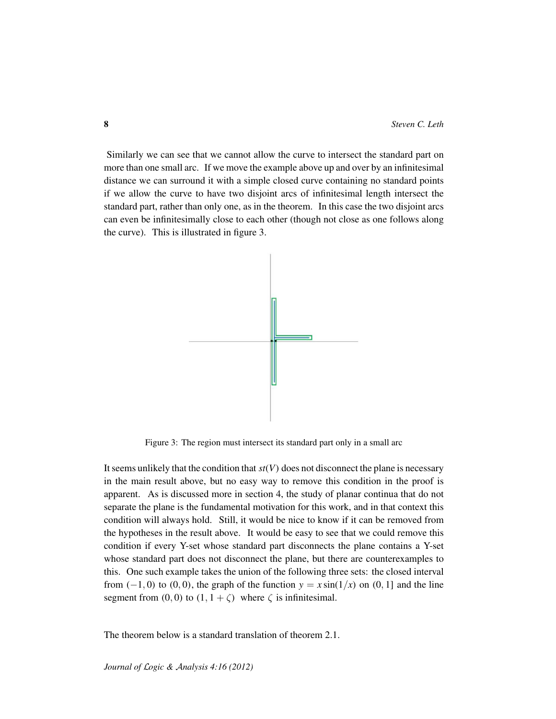Similarly we can see that we cannot allow the curve to intersect the standard part on more than one small arc. If we move the example above up and over by an infinitesimal distance we can surround it with a simple closed curve containing no standard points if we allow the curve to have two disjoint arcs of infinitesimal length intersect the standard part, rather than only one, as in the theorem. In this case the two disjoint arcs can even be infinitesimally close to each other (though not close as one follows along the curve). This is illustrated in figure 3.



Figure 3: The region must intersect its standard part only in a small arc

It seems unlikely that the condition that  $st(V)$  does not disconnect the plane is necessary in the main result above, but no easy way to remove this condition in the proof is apparent. As is discussed more in section 4, the study of planar continua that do not separate the plane is the fundamental motivation for this work, and in that context this condition will always hold. Still, it would be nice to know if it can be removed from the hypotheses in the result above. It would be easy to see that we could remove this condition if every Y-set whose standard part disconnects the plane contains a Y-set whose standard part does not disconnect the plane, but there are counterexamples to this. One such example takes the union of the following three sets: the closed interval from  $(-1, 0)$  to  $(0, 0)$ , the graph of the function  $y = x \sin(1/x)$  on  $(0, 1]$  and the line segment from  $(0, 0)$  to  $(1, 1 + \zeta)$  where  $\zeta$  is infinitesimal.

The theorem below is a standard translation of theorem 2.1.

*Journal of* L*ogic &* A*nalysis 4:16 (2012)*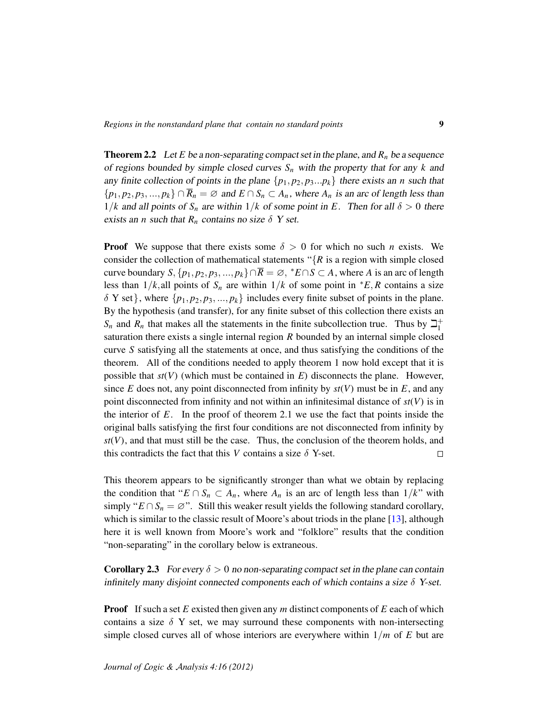**Theorem 2.2** Let *E* be a non-separating compact set in the plane, and  $R_n$  be a sequence of regions bounded by simple closed curves *S<sup>n</sup>* with the property that for any *k* and any finite collection of points in the plane  $\{p_1, p_2, p_3...p_k\}$  there exists an *n* such that  $\{p_1, p_2, p_3, ..., p_k\} \cap \overline{R}_n = \emptyset$  and  $E \cap S_n \subset A_n$ , where  $A_n$  is an arc of length less than  $1/k$  and all points of  $S_n$  are within  $1/k$  of some point in *E*. Then for all  $\delta > 0$  there exists an *n* such that  $R_n$  contains no size  $\delta$  Y set.

**Proof** We suppose that there exists some  $\delta > 0$  for which no such *n* exists. We consider the collection of mathematical statements " ${R}$  is a region with simple closed curve boundary  $S$ ,  $\{p_1, p_2, p_3, ..., p_k\} \cap \overline{R} = \emptyset$ ,  $^*E \cap S \subset A$ , where *A* is an arc of length less than  $1/k$ , all points of  $S_n$  are within  $1/k$  of some point in  $*E$ , *R* contains a size  $\delta$  Y set}, where  $\{p_1, p_2, p_3, ..., p_k\}$  includes every finite subset of points in the plane. By the hypothesis (and transfer), for any finite subset of this collection there exists an  $S_n$  and  $R_n$  that makes all the statements in the finite subcollection true. Thus by  $\beth_1^+$ 1 saturation there exists a single internal region *R* bounded by an internal simple closed curve *S* satisfying all the statements at once, and thus satisfying the conditions of the theorem. All of the conditions needed to apply theorem 1 now hold except that it is possible that  $st(V)$  (which must be contained in  $E$ ) disconnects the plane. However, since  $E$  does not, any point disconnected from infinity by  $st(V)$  must be in  $E$ , and any point disconnected from infinity and not within an infinitesimal distance of  $st(V)$  is in the interior of *E*. In the proof of theorem 2.1 we use the fact that points inside the original balls satisfying the first four conditions are not disconnected from infinity by  $st(V)$ , and that must still be the case. Thus, the conclusion of the theorem holds, and this contradicts the fact that this *V* contains a size  $\delta$  Y-set.  $\Box$ 

This theorem appears to be significantly stronger than what we obtain by replacing the condition that " $E \cap S_n \subset A_n$ , where  $A_n$  is an arc of length less than  $1/k$ " with simply " $E \cap S_n = \emptyset$ ". Still this weaker result yields the following standard corollary, which is similar to the classic result of Moore's about triods in the plane [\[13\]](#page-16-5), although here it is well known from Moore's work and "folklore" results that the condition "non-separating" in the corollary below is extraneous.

**Corollary 2.3** For every  $\delta > 0$  no non-separating compact set in the plane can contain infinitely many disjoint connected components each of which contains a size  $\delta$  Y-set.

Proof If such a set *E* existed then given any *m* distinct components of *E* each of which contains a size  $\delta$  Y set, we may surround these components with non-intersecting simple closed curves all of whose interiors are everywhere within 1/*m* of *E* but are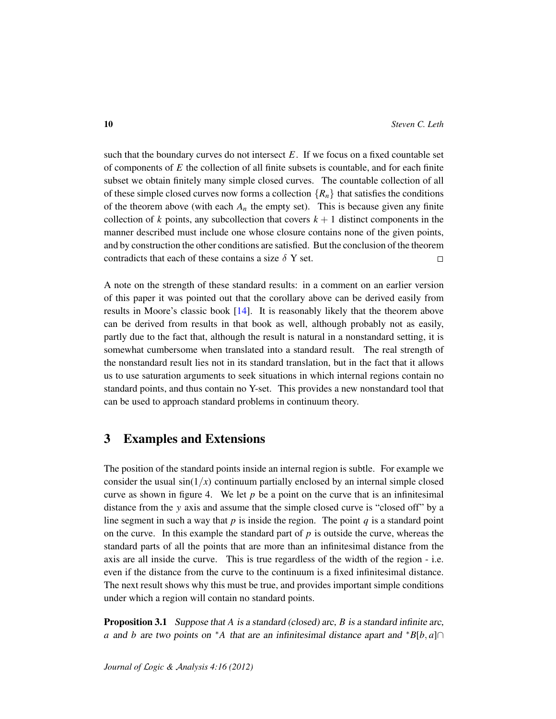such that the boundary curves do not intersect  $E$ . If we focus on a fixed countable set of components of *E* the collection of all finite subsets is countable, and for each finite subset we obtain finitely many simple closed curves. The countable collection of all of these simple closed curves now forms a collection  $\{R_n\}$  that satisfies the conditions of the theorem above (with each  $A_n$  the empty set). This is because given any finite collection of  $k$  points, any subcollection that covers  $k + 1$  distinct components in the manner described must include one whose closure contains none of the given points, and by construction the other conditions are satisfied. But the conclusion of the theorem contradicts that each of these contains a size  $\delta$  Y set.  $\Box$ 

A note on the strength of these standard results: in a comment on an earlier version of this paper it was pointed out that the corollary above can be derived easily from results in Moore's classic book  $[14]$ . It is reasonably likely that the theorem above can be derived from results in that book as well, although probably not as easily, partly due to the fact that, although the result is natural in a nonstandard setting, it is somewhat cumbersome when translated into a standard result. The real strength of the nonstandard result lies not in its standard translation, but in the fact that it allows us to use saturation arguments to seek situations in which internal regions contain no standard points, and thus contain no Y-set. This provides a new nonstandard tool that can be used to approach standard problems in continuum theory.

#### 3 Examples and Extensions

The position of the standard points inside an internal region is subtle. For example we consider the usual  $sin(1/x)$  continuum partially enclosed by an internal simple closed curve as shown in figure 4. We let  $p$  be a point on the curve that is an infinitesimal distance from the *y* axis and assume that the simple closed curve is "closed off" by a line segment in such a way that  $p$  is inside the region. The point  $q$  is a standard point on the curve. In this example the standard part of  $p$  is outside the curve, whereas the standard parts of all the points that are more than an infinitesimal distance from the axis are all inside the curve. This is true regardless of the width of the region - i.e. even if the distance from the curve to the continuum is a fixed infinitesimal distance. The next result shows why this must be true, and provides important simple conditions under which a region will contain no standard points.

Proposition 3.1 Suppose that *A* is a standard (closed) arc, *B* is a standard infinite arc, *a* and *b* are two points on <sup>∗</sup>*A* that are an infinitesimal distance apart and <sup>∗</sup>*B*[*b*, *a*]∩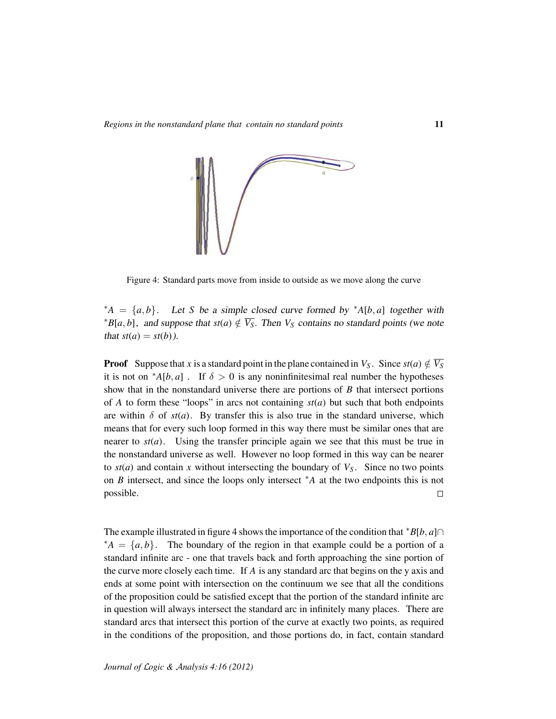

Figure 4: Standard parts move from inside to outside as we move along the curve

 $*A = \{a, b\}$ . Let *S* be a simple closed curve formed by  $*A[b, a]$  together with  $*B[a, b]$ , and suppose that  $st(a) \notin \overline{V_S}$ . Then  $V_S$  contains no standard points (we note that  $st(a) = st(b)$ ).

**Proof** Suppose that *x* is a standard point in the plane contained in *V<sub>S</sub>*. Since  $st(a) \notin \overline{V_S}$ it is not on  ${}^*A[b,a]$ . If  $\delta > 0$  is any noninfinitesimal real number the hypotheses show that in the nonstandard universe there are portions of *B* that intersect portions of *A* to form these "loops" in arcs not containing  $st(a)$  but such that both endpoints are within  $\delta$  of  $st(a)$ . By transfer this is also true in the standard universe, which means that for every such loop formed in this way there must be similar ones that are nearer to  $st(a)$ . Using the transfer principle again we see that this must be true in the nonstandard universe as well. However no loop formed in this way can be nearer to  $st(a)$  and contain x without intersecting the boundary of  $V<sub>S</sub>$ . Since no two points on *B* intersect, and since the loops only intersect <sup>∗</sup>*A* at the two endpoints this is not possible.  $\Box$ 

The example illustrated in figure 4 shows the importance of the condition that  $*B[b, a] \cap$  $A^*A = \{a, b\}$ . The boundary of the region in that example could be a portion of a standard infinite arc - one that travels back and forth approaching the sine portion of the curve more closely each time. If *A* is any standard arc that begins on the y axis and ends at some point with intersection on the continuum we see that all the conditions of the proposition could be satisfied except that the portion of the standard infinite arc in question will always intersect the standard arc in infinitely many places. There are standard arcs that intersect this portion of the curve at exactly two points, as required in the conditions of the proposition, and those portions do, in fact, contain standard

*Journal of* L*ogic &* A*nalysis 4:16 (2012)*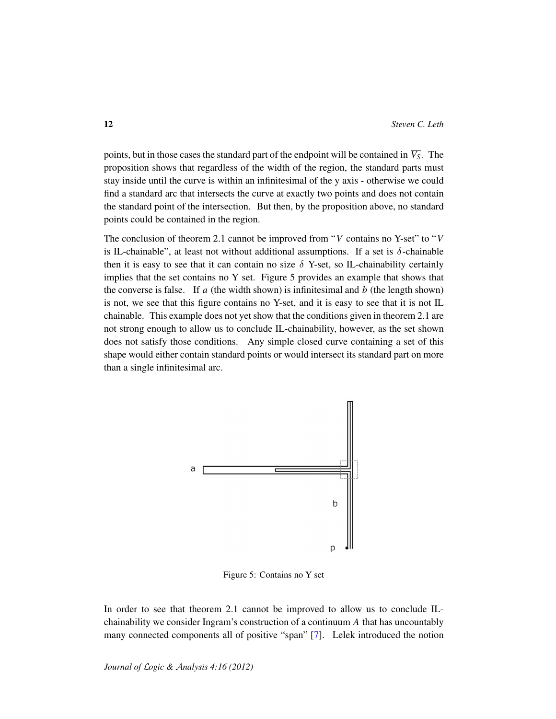points, but in those cases the standard part of the endpoint will be contained in  $\overline{V_s}$ . The proposition shows that regardless of the width of the region, the standard parts must stay inside until the curve is within an infinitesimal of the y axis - otherwise we could find a standard arc that intersects the curve at exactly two points and does not contain the standard point of the intersection. But then, by the proposition above, no standard points could be contained in the region.

The conclusion of theorem 2.1 cannot be improved from "*V* contains no Y-set" to "*V* is IL-chainable", at least not without additional assumptions. If a set is  $\delta$ -chainable then it is easy to see that it can contain no size  $\delta$  Y-set, so IL-chainability certainly implies that the set contains no Y set. Figure 5 provides an example that shows that the converse is false. If  $a$  (the width shown) is infinitesimal and  $b$  (the length shown) is not, we see that this figure contains no Y-set, and it is easy to see that it is not IL chainable. This example does not yet show that the conditions given in theorem 2.1 are not strong enough to allow us to conclude IL-chainability, however, as the set shown does not satisfy those conditions. Any simple closed curve containing a set of this shape would either contain standard points or would intersect its standard part on more than a single infinitesimal arc.



Figure 5: Contains no Y set

In order to see that theorem 2.1 cannot be improved to allow us to conclude ILchainability we consider Ingram's construction of a continuum *A* that has uncountably many connected components all of positive "span" [\[7\]](#page-16-7). Lelek introduced the notion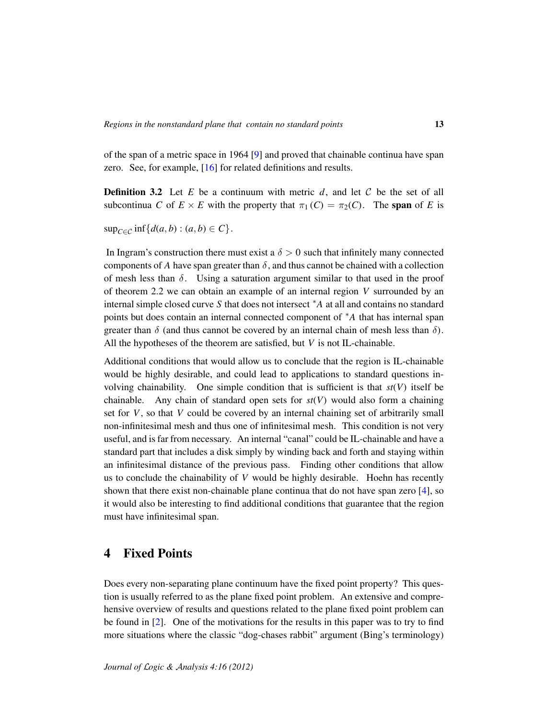of the span of a metric space in 1964 [\[9\]](#page-16-8) and proved that chainable continua have span zero. See, for example, [\[16\]](#page-16-9) for related definitions and results.

**Definition 3.2** Let  $E$  be a continuum with metric  $d$ , and let  $C$  be the set of all subcontinua *C* of  $E \times E$  with the property that  $\pi_1(C) = \pi_2(C)$ . The span of *E* is

 $\sup_{C \in \mathcal{C}} \inf \{d(a, b) : (a, b) \in C\}.$ 

In Ingram's construction there must exist a  $\delta > 0$  such that infinitely many connected components of *A* have span greater than  $\delta$ , and thus cannot be chained with a collection of mesh less than  $\delta$ . Using a saturation argument similar to that used in the proof of theorem 2.2 we can obtain an example of an internal region *V* surrounded by an internal simple closed curve *S* that does not intersect <sup>∗</sup>*A* at all and contains no standard points but does contain an internal connected component of <sup>∗</sup>*A* that has internal span greater than  $\delta$  (and thus cannot be covered by an internal chain of mesh less than  $\delta$ ). All the hypotheses of the theorem are satisfied, but *V* is not IL-chainable.

Additional conditions that would allow us to conclude that the region is IL-chainable would be highly desirable, and could lead to applications to standard questions involving chainability. One simple condition that is sufficient is that  $st(V)$  itself be chainable. Any chain of standard open sets for  $st(V)$  would also form a chaining set for *V*, so that *V* could be covered by an internal chaining set of arbitrarily small non-infinitesimal mesh and thus one of infinitesimal mesh. This condition is not very useful, and is far from necessary. An internal "canal" could be IL-chainable and have a standard part that includes a disk simply by winding back and forth and staying within an infinitesimal distance of the previous pass. Finding other conditions that allow us to conclude the chainability of *V* would be highly desirable. Hoehn has recently shown that there exist non-chainable plane continua that do not have span zero [\[4\]](#page-16-10), so it would also be interesting to find additional conditions that guarantee that the region must have infinitesimal span.

## 4 Fixed Points

Does every non-separating plane continuum have the fixed point property? This question is usually referred to as the plane fixed point problem. An extensive and comprehensive overview of results and questions related to the plane fixed point problem can be found in [\[2\]](#page-15-1). One of the motivations for the results in this paper was to try to find more situations where the classic "dog-chases rabbit" argument (Bing's terminology)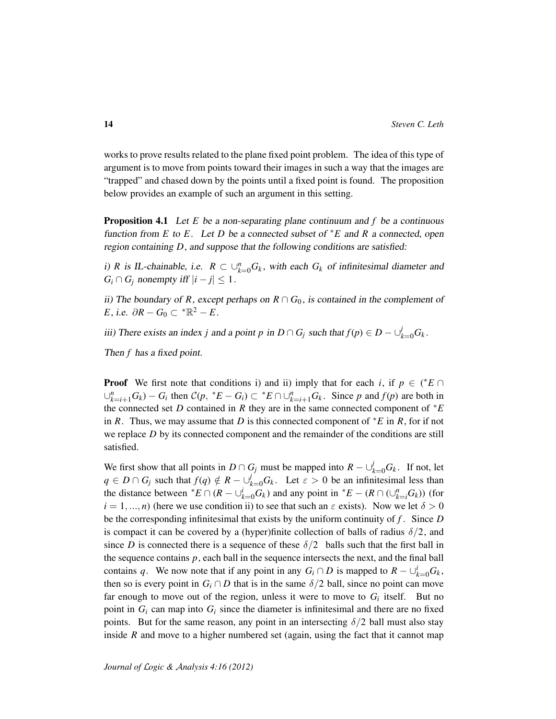works to prove results related to the plane fixed point problem. The idea of this type of argument is to move from points toward their images in such a way that the images are "trapped" and chased down by the points until a fixed point is found. The proposition below provides an example of such an argument in this setting.

Proposition 4.1 Let *E* be a non-separating plane continuum and *f* be a continuous function from *E* to *E*. Let *D* be a connected subset of <sup>∗</sup>*E* and *R* a connected, open region containing *D*, and suppose that the following conditions are satisfied:

i) *R* is IL-chainable, i.e.  $R \subset \bigcup_{k=0}^{n} G_k$ , with each  $G_k$  of infinitesimal diameter and  $G_i \cap G_j$  nonempty iff  $|i - j| \leq 1$ .

ii) The boundary of *R*, except perhaps on  $R \cap G_0$ , is contained in the complement of *E*, i.e.  $\partial R - G_0 \subset {}^* \mathbb{R}^2 - E$ .

iii) There exists an index *j* and a point *p* in  $D \cap G_j$  such that  $f(p) \in D - \bigcup_{k=0}^{j} G_k$ .

Then *f* has a fixed point.

**Proof** We first note that conditions i) and ii) imply that for each *i*, if  $p \in (*E \cap$  $\bigcup_{k=i+1}^{n} G_k$   $- G_i$  then  $C(p, {}^*E - G_i) \subset {}^*E \cap \bigcup_{k=i+1}^{n} G_k$ . Since p and  $f(p)$  are both in the connected set *D* contained in *R* they are in the same connected component of <sup>∗</sup>*E* in *R*. Thus, we may assume that *D* is this connected component of <sup>∗</sup>*E* in *R*, for if not we replace *D* by its connected component and the remainder of the conditions are still satisfied.

We first show that all points in  $D \cap G_j$  must be mapped into  $R - \bigcup_{k=0}^j G_k$ . If not, let  $q \in D \cap G_j$  such that  $f(q) \notin R - \bigcup_{k=0}^j G_k$ . Let  $\varepsilon > 0$  be an infinitesimal less than the distance between  $^*E \cap (R - \bigcup_{k=0}^{i} G_k)$  and any point in  $^*E - (R \cap (\bigcup_{k=i}^{n} G_k))$  (for  $i = 1, ..., n$ ) (here we use condition ii) to see that such an  $\varepsilon$  exists). Now we let  $\delta > 0$ be the corresponding infinitesimal that exists by the uniform continuity of *f* . Since *D* is compact it can be covered by a (hyper)finite collection of balls of radius  $\delta/2$ , and since *D* is connected there is a sequence of these  $\delta/2$  balls such that the first ball in the sequence contains  $p$ , each ball in the sequence intersects the next, and the final ball contains *q*. We now note that if any point in any  $G_i \cap D$  is mapped to  $R - \bigcup_{k=0}^{i} G_k$ , then so is every point in  $G_i \cap D$  that is in the same  $\delta/2$  ball, since no point can move far enough to move out of the region, unless it were to move to  $G_i$  itself. But no point in  $G_i$  can map into  $G_i$  since the diameter is infinitesimal and there are no fixed points. But for the same reason, any point in an intersecting  $\delta/2$  ball must also stay inside *R* and move to a higher numbered set (again, using the fact that it cannot map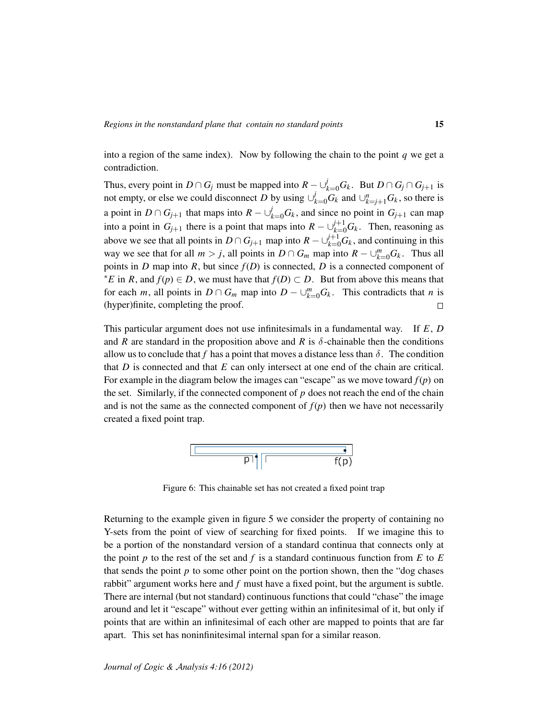into a region of the same index). Now by following the chain to the point *q* we get a contradiction.

Thus, every point in  $D \cap G_j$  must be mapped into  $R - \bigcup_{k=0}^{j} G_k$ . But  $D \cap G_j \cap G_{j+1}$  is not empty, or else we could disconnect *D* by using  $\bigcup_{k=0}^{j} G_k$  and  $\bigcup_{k=j+1}^{n} G_k$ , so there is a point in  $D \cap G_{j+1}$  that maps into  $R - \bigcup_{k=0}^{j} G_k$ , and since no point in  $G_{j+1}$  can map into a point in  $G_{j+1}$  there is a point that maps into  $R - \bigcup_{k=0}^{j+1} G_k$ . Then, reasoning as above we see that all points in  $D \cap G_{j+1}$  map into  $R - \bigcup_{k=0}^{j+1} G_k$ , and continuing in this way we see that for all  $m > j$ , all points in  $D \cap G_m$  map into  $R - \bigcup_{k=0}^{m} G_k$ . Thus all points in *D* map into *R*, but since  $f(D)$  is connected, *D* is a connected component of *\*E* in *R*, and  $f(p)$  ∈ *D*, we must have that  $f(D)$  ⊂ *D*. But from above this means that for each *m*, all points in  $D \cap G_m$  map into  $D - \bigcup_{k=0}^m G_k$ . This contradicts that *n* is (hyper)finite, completing the proof.  $\Box$ 

This particular argument does not use infinitesimals in a fundamental way. If *E*, *D* and *R* are standard in the proposition above and *R* is  $\delta$ -chainable then the conditions allow us to conclude that *f* has a point that moves a distance less than  $\delta$ . The condition that *D* is connected and that *E* can only intersect at one end of the chain are critical. For example in the diagram below the images can "escape" as we move toward *f*(*p*) on the set. Similarly, if the connected component of *p* does not reach the end of the chain and is not the same as the connected component of  $f(p)$  then we have not necessarily created a fixed point trap.



Figure 6: This chainable set has not created a fixed point trap

Returning to the example given in figure 5 we consider the property of containing no Y-sets from the point of view of searching for fixed points. If we imagine this to be a portion of the nonstandard version of a standard continua that connects only at the point *p* to the rest of the set and *f* is a standard continuous function from *E* to *E* that sends the point  $p$  to some other point on the portion shown, then the "dog chases" rabbit" argument works here and *f* must have a fixed point, but the argument is subtle. There are internal (but not standard) continuous functions that could "chase" the image around and let it "escape" without ever getting within an infinitesimal of it, but only if points that are within an infinitesimal of each other are mapped to points that are far apart. This set has noninfinitesimal internal span for a similar reason.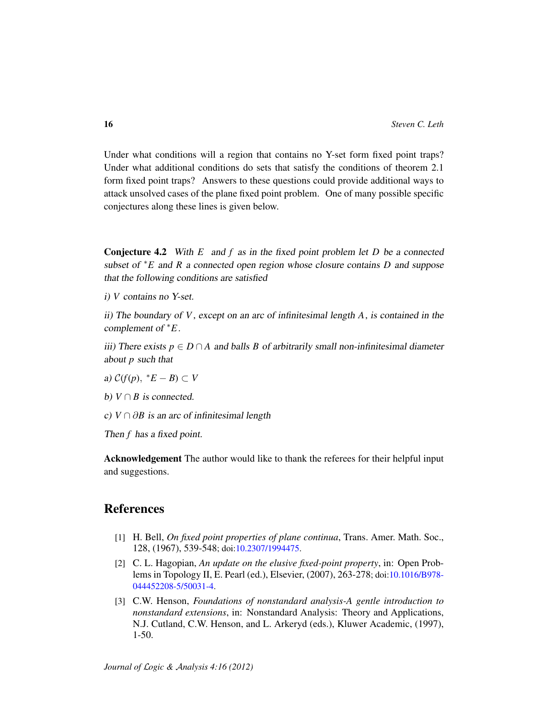Under what conditions will a region that contains no Y-set form fixed point traps? Under what additional conditions do sets that satisfy the conditions of theorem 2.1 form fixed point traps? Answers to these questions could provide additional ways to attack unsolved cases of the plane fixed point problem. One of many possible specific conjectures along these lines is given below.

Conjecture 4.2 With *E* and *f* as in the fixed point problem let *D* be a connected subset of <sup>∗</sup>*E* and *R* a connected open region whose closure contains *D* and suppose that the following conditions are satisfied

i) *V* contains no Y-set.

ii) The boundary of *V*, except on an arc of infinitesimal length *A*, is contained in the complement of <sup>∗</sup>*E*.

iii) There exists  $p \in D \cap A$  and balls *B* of arbitrarily small non-infinitesimal diameter about *p* such that

a)  $C(f(p), *E - B) \subset V$ 

*b*)  $V \cap B$  *is connected.* 

c)  $V \cap \partial B$  is an arc of infinitesimal length

Then *f* has a fixed point.

Acknowledgement The author would like to thank the referees for their helpful input and suggestions.

## References

- [1] H. Bell, *On fixed point properties of plane continua*, Trans. Amer. Math. Soc., 128, (1967), 539-548; doi[:10.2307/1994475.](http://dx.doi.org/10.2307/1994475)
- <span id="page-15-1"></span>[2] C. L. Hagopian, *An update on the elusive fixed-point property*, in: Open Problems in Topology II, E. Pearl (ed.), Elsevier, (2007), 263-278; doi[:10.1016/B978-](http://dx.doi.org/10.1016/B978-044452208-5/50031-4) [044452208-5/50031-4.](http://dx.doi.org/10.1016/B978-044452208-5/50031-4)
- <span id="page-15-0"></span>[3] C.W. Henson, *Foundations of nonstandard analysis-A gentle introduction to nonstandard extensions*, in: Nonstandard Analysis: Theory and Applications, N.J. Cutland, C.W. Henson, and L. Arkeryd (eds.), Kluwer Academic, (1997), 1-50.